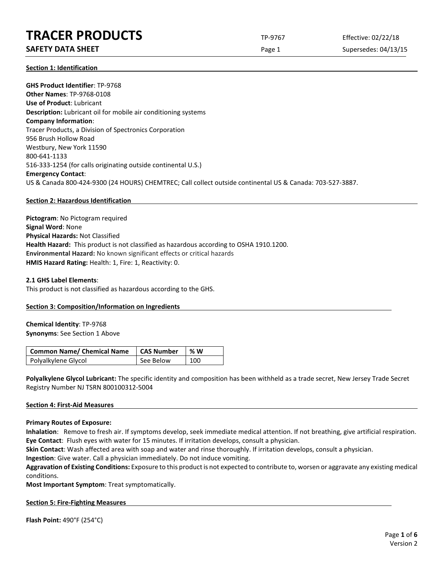# **TRACER PRODUCTS** TP-9767 Effective: 02/22/18

# **SAFETY DATA SHEET** SUPERFOUR CONSIDERING Page 1 Supersedes: 04/13/15

**Section 1: Identification**

**GHS Product Identifier**: TP-9768 **Other Names**: TP-9768-0108 **Use of Product**: Lubricant **Description:** Lubricant oil for mobile air conditioning systems **Company Information**: Tracer Products, a Division of Spectronics Corporation 956 Brush Hollow Road Westbury, New York 11590 800-641-1133 516-333-1254 (for calls originating outside continental U.S.) **Emergency Contact**: US & Canada 800-424-9300 (24 HOURS) CHEMTREC; Call collect outside continental US & Canada: 703-527-3887.

# **Section 2: Hazardous Identification**

**Pictogram**: No Pictogram required **Signal Word**: None **Physical Hazards:** Not Classified **Health Hazard:** This product is not classified as hazardous according to OSHA 1910.1200. **Environmental Hazard:** No known significant effects or critical hazards **HMIS Hazard Rating:** Health: 1, Fire: 1, Reactivity: 0.

## **2.1 GHS Label Elements**:

This product is not classified as hazardous according to the GHS.

# **Section 3: Composition/Information on Ingredients**

**Chemical Identity**: TP-9768 **Synonyms**: See Section 1 Above

| <b>Common Name/ Chemical Name</b> | <b>CAS Number</b> | % W |
|-----------------------------------|-------------------|-----|
| Polyalkylene Glycol               | See Below         | 100 |

**Polyalkylene Glycol Lubricant:** The specific identity and composition has been withheld as a trade secret, New Jersey Trade Secret Registry Number NJ TSRN 800100312-5004

### **Section 4: First-Aid Measures**

### **Primary Routes of Exposure:**

**Inhalation**: Remove to fresh air. If symptoms develop, seek immediate medical attention. If not breathing, give artificial respiration. **Eye Contact**: Flush eyes with water for 15 minutes. If irritation develops, consult a physician.

**Skin Contact**: Wash affected area with soap and water and rinse thoroughly. If irritation develops, consult a physician.

**Ingestion**: Give water. Call a physician immediately. Do not induce vomiting.

**Aggravation of Existing Conditions:** Exposure to this product is not expected to contribute to, worsen or aggravate any existing medical conditions.

**Most Important Symptom**: Treat symptomatically.

### **Section 5: Fire-Fighting Measures**

**Flash Point:** 490°F (254°C)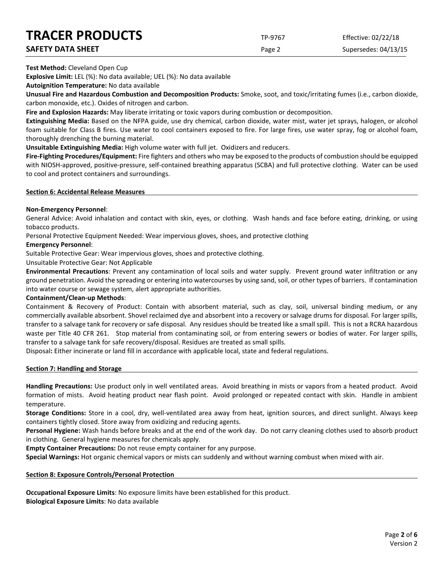# **TRACER PRODUCTS** TP-9767 Effective: 02/22/18

| <b>INALEN FNUDULIJ</b>   | TP-9767       | Effective: 02/22/18  |
|--------------------------|---------------|----------------------|
| <b>SAFETY DATA SHEET</b> | Page $\angle$ | Supersedes: 04/13/15 |

**Test Method:** Cleveland Open Cup

**Explosive Limit:** LEL (%): No data available; UEL (%): No data available

**Autoignition Temperature:** No data available

**Unusual Fire and Hazardous Combustion and Decomposition Products:** Smoke, soot, and toxic/irritating fumes (i.e., carbon dioxide, carbon monoxide, etc.). Oxides of nitrogen and carbon.

**Fire and Explosion Hazards:** May liberate irritating or toxic vapors during combustion or decomposition.

**Extinguishing Media:** Based on the NFPA guide, use dry chemical, carbon dioxide, water mist, water jet sprays, halogen, or alcohol foam suitable for Class B fires. Use water to cool containers exposed to fire. For large fires, use water spray, fog or alcohol foam, thoroughly drenching the burning material.

**Unsuitable Extinguishing Media:** High volume water with full jet. Oxidizers and reducers.

**Fire-Fighting Procedures/Equipment:** Fire fighters and others who may be exposed to the products of combustion should be equipped with NIOSH-approved, positive-pressure, self-contained breathing apparatus (SCBA) and full protective clothing. Water can be used to cool and protect containers and surroundings.

## **Section 6: Accidental Release Measures**

## **Non-Emergency Personnel**:

General Advice: Avoid inhalation and contact with skin, eyes, or clothing. Wash hands and face before eating, drinking, or using tobacco products.

Personal Protective Equipment Needed: Wear impervious gloves, shoes, and protective clothing

# **Emergency Personnel**:

Suitable Protective Gear: Wear impervious gloves, shoes and protective clothing.

Unsuitable Protective Gear: Not Applicable

**Environmental Precautions**: Prevent any contamination of local soils and water supply. Prevent ground water infiltration or any ground penetration. Avoid the spreading or entering into watercourses by using sand, soil, or other types of barriers. If contamination into water course or sewage system, alert appropriate authorities.

### **Containment/Clean-up Methods**:

Containment & Recovery of Product: Contain with absorbent material, such as clay, soil, universal binding medium, or any commercially available absorbent. Shovel reclaimed dye and absorbent into a recovery or salvage drums for disposal. For larger spills, transfer to a salvage tank for recovery or safe disposal. Any residues should be treated like a small spill. This is not a RCRA hazardous waste per Title 40 CFR 261. Stop material from contaminating soil, or from entering sewers or bodies of water. For larger spills, transfer to a salvage tank for safe recovery/disposal. Residues are treated as small spills.

Disposal**:** Either incinerate or land fill in accordance with applicable local, state and federal regulations.

# **Section 7: Handling and Storage**

**Handling Precautions:** Use product only in well ventilated areas. Avoid breathing in mists or vapors from a heated product. Avoid formation of mists. Avoid heating product near flash point. Avoid prolonged or repeated contact with skin. Handle in ambient temperature.

**Storage Conditions:** Store in a cool, dry, well-ventilated area away from heat, ignition sources, and direct sunlight. Always keep containers tightly closed. Store away from oxidizing and reducing agents.

**Personal Hygiene:** Wash hands before breaks and at the end of the work day. Do not carry cleaning clothes used to absorb product in clothing. General hygiene measures for chemicals apply.

**Empty Container Precautions:** Do not reuse empty container for any purpose.

**Special Warnings:** Hot organic chemical vapors or mists can suddenly and without warning combust when mixed with air.

### **Section 8: Exposure Controls/Personal Protection**

**Occupational Exposure Limits**: No exposure limits have been established for this product. **Biological Exposure Limits**: No data available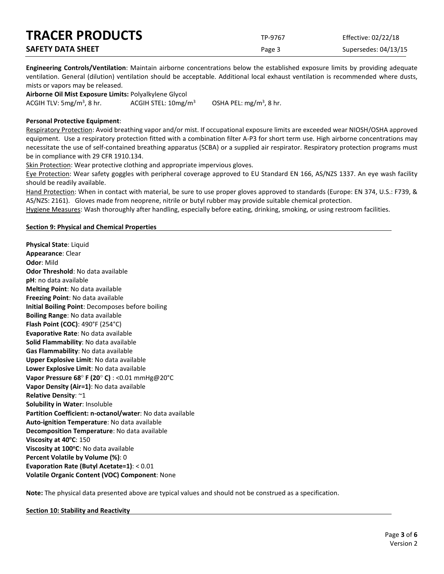| <b>TRACER PRODUCTS</b>   | TP-9767 | Effective: 02/22/18  |
|--------------------------|---------|----------------------|
| <b>SAFETY DATA SHEET</b> | Page 3  | Supersedes: 04/13/15 |

**Engineering Controls/Ventilation**: Maintain airborne concentrations below the established exposure limits by providing adequate ventilation. General (dilution) ventilation should be acceptable. Additional local exhaust ventilation is recommended where dusts, mists or vapors may be released.

**Airborne Oil Mist Exposure Limits:** Polyalkylene Glycol ACGIH TLV:  $5mg/m<sup>3</sup>$ , 8 hr. ACGIH STEL:  $10$ mg/m<sup>3</sup>

OSHA PEL:  $mg/m<sup>3</sup>$ , 8 hr.

# **Personal Protective Equipment**:

Respiratory Protection: Avoid breathing vapor and/or mist. If occupational exposure limits are exceeded wear NIOSH/OSHA approved equipment. Use a respiratory protection fitted with a combination filter A-P3 for short term use. High airborne concentrations may necessitate the use of self-contained breathing apparatus (SCBA) or a supplied air respirator. Respiratory protection programs must be in compliance with 29 CFR 1910.134.

Skin Protection: Wear protective clothing and appropriate impervious gloves.

Eye Protection: Wear safety goggles with peripheral coverage approved to EU Standard EN 166, AS/NZS 1337. An eye wash facility should be readily available.

Hand Protection: When in contact with material, be sure to use proper gloves approved to standards (Europe: EN 374, U.S.: F739, & AS/NZS: 2161). Gloves made from neoprene, nitrile or butyl rubber may provide suitable chemical protection.

Hygiene Measures: Wash thoroughly after handling, especially before eating, drinking, smoking, or using restroom facilities.

# **Section 9: Physical and Chemical Properties**

**Physical State**: Liquid **Appearance**: Clear **Odor**: Mild **Odor Threshold**: No data available **pH**: no data available **Melting Point**: No data available **Freezing Point**: No data available **Initial Boiling Point**: Decomposes before boiling **Boiling Range**: No data available **Flash Point (COC)**: 490°F (254°C) **Evaporative Rate**: No data available **Solid Flammability**: No data available **Gas Flammability**: No data available **Upper Explosive Limit**: No data available **Lower Explosive Limit**: No data available **Vapor Pressure 68**° **F (20**° **C)** : <0.01 mmHg@20°C **Vapor Density (Air=1)**: No data available **Relative Density**: ~1 **Solubility in Water**: Insoluble **Partition Coefficient: n-octanol/water**: No data available **Auto-ignition Temperature**: No data available **Decomposition Temperature**: No data available **Viscosity at 40°C: 150 Viscosity at 100°C**: No data available **Percent Volatile by Volume (%)**: 0 **Evaporation Rate (Butyl Acetate=1)**: < 0.01 **Volatile Organic Content (VOC) Component**: None

**Note:** The physical data presented above are typical values and should not be construed as a specification.

**Section 10: Stability and Reactivity**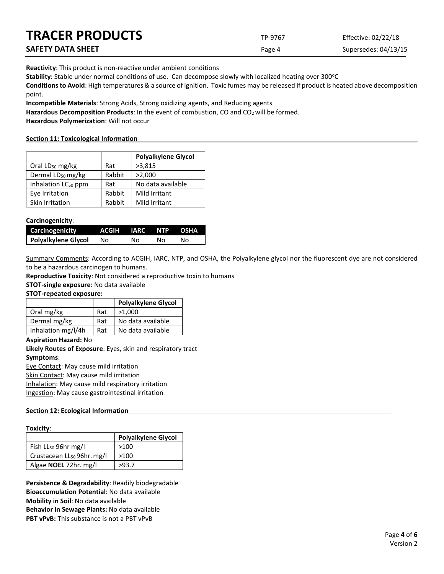| <b>TRACER PRODUCTS</b> | TP-9767 | Effective: 02/22/18  |
|------------------------|---------|----------------------|
| SAFETY DATA SHEET      | Page 4  | Supersedes: 04/13/15 |

**Reactivity**: This product is non-reactive under ambient conditions

Stability: Stable under normal conditions of use. Can decompose slowly with localized heating over 300°C

**Conditions to Avoid**: High temperatures & a source of ignition. Toxic fumes may be released if product is heated above decomposition point.

**Incompatible Materials**: Strong Acids, Strong oxidizing agents, and Reducing agents

Hazardous Decomposition Products: In the event of combustion, CO and CO<sub>2</sub> will be formed.

**Hazardous Polymerization**: Will not occur

## **Section 11: Toxicological Information**

|                                 |        | <b>Polyalkylene Glycol</b> |
|---------------------------------|--------|----------------------------|
| Oral LD <sub>50</sub> mg/kg     | Rat    | >3,815                     |
| Dermal LD <sub>50</sub> mg/kg   | Rabbit | >2,000                     |
| Inhalation LC <sub>50</sub> ppm | Rat    | No data available          |
| Eye Irritation                  | Rabbit | Mild Irritant              |
| Skin Irritation                 | Rabbit | Mild Irritant              |

## **Carcinogenicity**:

| Carcinogenicity     | ACGIH IARC NTP OSHA |    |    |    |
|---------------------|---------------------|----|----|----|
| Polyalkylene Glycol | No.                 | Nο | NΩ | NΩ |

Summary Comments: According to ACGIH, IARC, NTP, and OSHA, the Polyalkylene glycol nor the fluorescent dye are not considered to be a hazardous carcinogen to humans.

**Reproductive Toxicity**: Not considered a reproductive toxin to humans

**STOT-single exposure**: No data available

### **STOT-repeated exposure:**

|                    |     | <b>Polyalkylene Glycol</b> |
|--------------------|-----|----------------------------|
| Oral mg/kg         | Rat | >1.000                     |
| Dermal mg/kg       | Rat | No data available          |
| Inhalation mg/l/4h | Rat | No data available          |

### **Aspiration Hazard:** No

**Likely Routes of Exposure**: Eyes, skin and respiratory tract **Symptoms**: Eye Contact: May cause mild irritation

Skin Contact: May cause mild irritation

Inhalation: May cause mild respiratory irritation Ingestion: May cause gastrointestinal irritation

# **Section 12: Ecological Information**

| Toxicity: |
|-----------|
|-----------|

| .                                      |                            |  |  |
|----------------------------------------|----------------------------|--|--|
|                                        | <b>Polyalkylene Glycol</b> |  |  |
| Fish $LL_{50}$ 96hr mg/l               | >100                       |  |  |
| Crustacean LL <sub>50</sub> 96hr. mg/l | >100                       |  |  |
| Algae <b>NOEL</b> 72hr. mg/l           | >93.7                      |  |  |

**Persistence & Degradability**: Readily biodegradable **Bioaccumulation Potential**: No data available **Mobility in Soil**: No data available **Behavior in Sewage Plants:** No data available **PBT vPvB:** This substance is not a PBT vPvB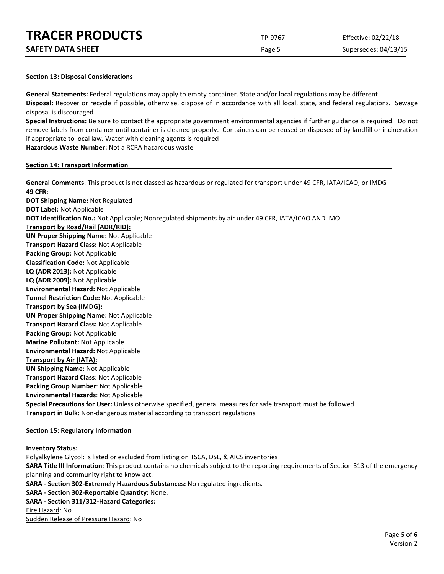| <b>TRACER PRODUCTS</b> | TP-9767 | Effective: 02/22/18 |
|------------------------|---------|---------------------|
|                        |         |                     |

| <b>SAFETY DATA SHEET</b> |  |
|--------------------------|--|
|--------------------------|--|

Page 5 Supersedes: 04/13/15

## **Section 13: Disposal Considerations**

**General Statements:** Federal regulations may apply to empty container. State and/or local regulations may be different. **Disposal:** Recover or recycle if possible, otherwise, dispose of in accordance with all local, state, and federal regulations. Sewage disposal is discouraged

**Special Instructions:** Be sure to contact the appropriate government environmental agencies if further guidance is required. Do not remove labels from container until container is cleaned properly. Containers can be reused or disposed of by landfill or incineration if appropriate to local law. Water with cleaning agents is required

**Hazardous Waste Number:** Not a RCRA hazardous waste

### **Section 14: Transport Information**

**General Comments**: This product is not classed as hazardous or regulated for transport under 49 CFR, IATA/ICAO, or IMDG **49 CFR: DOT Shipping Name:** Not Regulated **DOT Label:** Not Applicable **DOT Identification No.:** Not Applicable; Nonregulated shipments by air under 49 CFR, IATA/ICAO AND IMO **Transport by Road/Rail (ADR/RID): UN Proper Shipping Name:** Not Applicable **Transport Hazard Class:** Not Applicable **Packing Group:** Not Applicable **Classification Code:** Not Applicable **LQ (ADR 2013):** Not Applicable **LQ (ADR 2009):** Not Applicable **Environmental Hazard:** Not Applicable **Tunnel Restriction Code:** Not Applicable **Transport by Sea (IMDG): UN Proper Shipping Name:** Not Applicable **Transport Hazard Class:** Not Applicable **Packing Group:** Not Applicable **Marine Pollutant:** Not Applicable **Environmental Hazard:** Not Applicable **Transport by Air (IATA): UN Shipping Name**: Not Applicable **Transport Hazard Class**: Not Applicable **Packing Group Number**: Not Applicable **Environmental Hazards**: Not Applicable **Special Precautions for User:** Unless otherwise specified, general measures for safe transport must be followed **Transport in Bulk:** Non-dangerous material according to transport regulations

# **Section 15: Regulatory Information**

### **Inventory Status:**

Polyalkylene Glycol: is listed or excluded from listing on TSCA, DSL, & AICS inventories **SARA Title III Information**: This product contains no chemicals subject to the reporting requirements of Section 313 of the emergency planning and community right to know act. **SARA - Section 302-Extremely Hazardous Substances:** No regulated ingredients. **SARA - Section 302-Reportable Quantity:** None. **SARA - Section 311/312-Hazard Categories:** Fire Hazard: No Sudden Release of Pressure Hazard: No